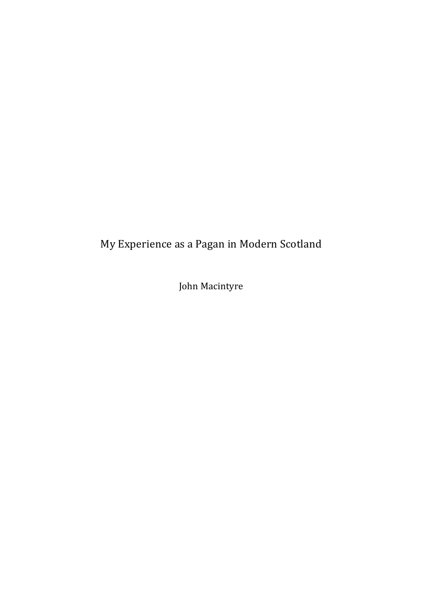## My Experience as a Pagan in Modern Scotland

John Macintyre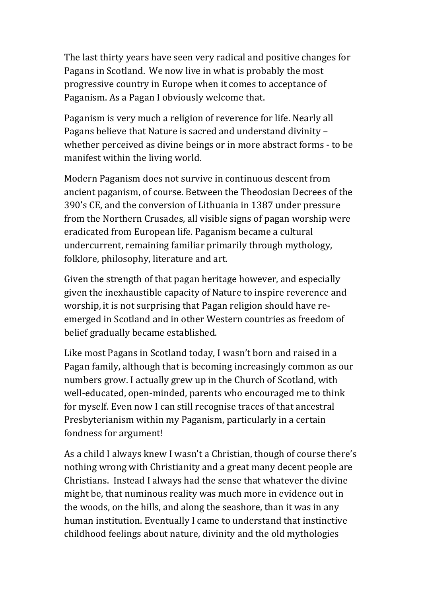The last thirty years have seen very radical and positive changes for Pagans in Scotland. We now live in what is probably the most progressive country in Europe when it comes to acceptance of Paganism. As a Pagan I obviously welcome that.

Paganism is very much a religion of reverence for life. Nearly all Pagans believe that Nature is sacred and understand divinity whether perceived as divine beings or in more abstract forms - to be manifest within the living world.

Modern Paganism does not survive in continuous descent from ancient paganism, of course. Between the Theodosian Decrees of the 390's CE, and the conversion of Lithuania in 1387 under pressure from the Northern Crusades, all visible signs of pagan worship were eradicated from European life. Paganism became a cultural undercurrent, remaining familiar primarily through mythology, folklore, philosophy, literature and art.

Given the strength of that pagan heritage however, and especially given the inexhaustible capacity of Nature to inspire reverence and worship, it is not surprising that Pagan religion should have reemerged in Scotland and in other Western countries as freedom of belief gradually became established.

Like most Pagans in Scotland today, I wasn't born and raised in a Pagan family, although that is becoming increasingly common as our numbers grow. I actually grew up in the Church of Scotland, with well-educated, open-minded, parents who encouraged me to think for myself. Even now I can still recognise traces of that ancestral Presbyterianism within my Paganism, particularly in a certain fondness for argument!

As a child I always knew I wasn't a Christian, though of course there's nothing wrong with Christianity and a great many decent people are Christians. Instead I always had the sense that whatever the divine might be, that numinous reality was much more in evidence out in the woods, on the hills, and along the seashore, than it was in any human institution. Eventually I came to understand that instinctive childhood feelings about nature, divinity and the old mythologies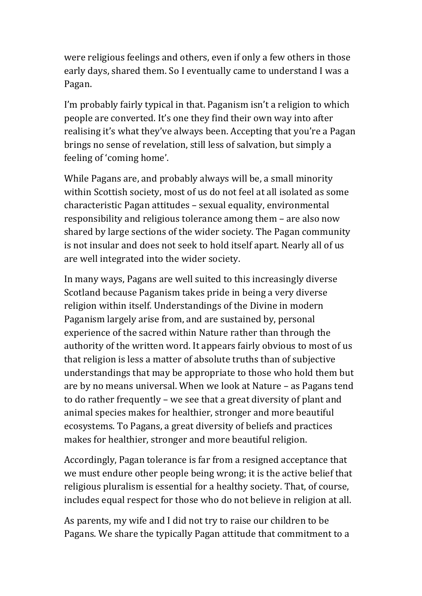were religious feelings and others, even if only a few others in those early days, shared them. So I eventually came to understand I was a Pagan.

I'm probably fairly typical in that. Paganism isn't a religion to which people are converted. It's one they find their own way into after realising it's what they've always been. Accepting that you're a Pagan brings no sense of revelation, still less of salvation, but simply a feeling of 'coming home'.

While Pagans are, and probably always will be, a small minority within Scottish society, most of us do not feel at all isolated as some characteristic Pagan attitudes - sexual equality, environmental responsibility and religious tolerance among them – are also now shared by large sections of the wider society. The Pagan community is not insular and does not seek to hold itself apart. Nearly all of us are well integrated into the wider society.

In many ways, Pagans are well suited to this increasingly diverse Scotland because Paganism takes pride in being a very diverse religion within itself. Understandings of the Divine in modern Paganism largely arise from, and are sustained by, personal experience of the sacred within Nature rather than through the authority of the written word. It appears fairly obvious to most of us that religion is less a matter of absolute truths than of subjective understandings that may be appropriate to those who hold them but are by no means universal. When we look at Nature – as Pagans tend to do rather frequently – we see that a great diversity of plant and animal species makes for healthier, stronger and more beautiful ecosystems. To Pagans, a great diversity of beliefs and practices makes for healthier, stronger and more beautiful religion.

Accordingly, Pagan tolerance is far from a resigned acceptance that we must endure other people being wrong; it is the active belief that religious pluralism is essential for a healthy society. That, of course, includes equal respect for those who do not believe in religion at all.

As parents, my wife and I did not try to raise our children to be Pagans. We share the typically Pagan attitude that commitment to a